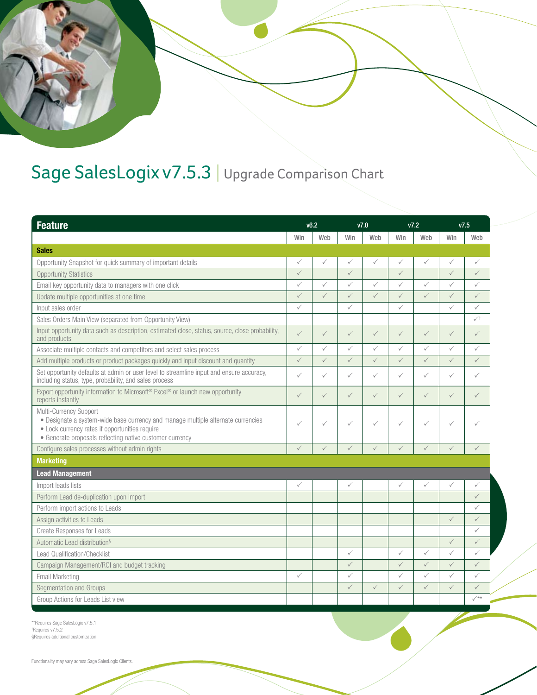

## Sage SalesLogix v7.5.3 | Upgrade Comparison Chart

| <b>Feature</b>                                                                                                                                                                                                           | v6.2         |              | V <sub>7.0</sub> |              | V7.2         |              | V <sub>7.5</sub> |                 |
|--------------------------------------------------------------------------------------------------------------------------------------------------------------------------------------------------------------------------|--------------|--------------|------------------|--------------|--------------|--------------|------------------|-----------------|
|                                                                                                                                                                                                                          | Win          | Web          | Win              | Web          | Win          | Web          | Win              | Web             |
| <b>Sales</b>                                                                                                                                                                                                             |              |              |                  |              |              |              |                  |                 |
| Opportunity Snapshot for quick summary of important details                                                                                                                                                              | $\checkmark$ | $\checkmark$ | $\checkmark$     | $\checkmark$ | $\checkmark$ | $\checkmark$ | $\checkmark$     | $\checkmark$    |
| <b>Opportunity Statistics</b>                                                                                                                                                                                            | $\checkmark$ |              | $\checkmark$     |              | $\checkmark$ |              | $\checkmark$     | $\checkmark$    |
| Email key opportunity data to managers with one click                                                                                                                                                                    | ✓            | $\checkmark$ | ✓                | $\checkmark$ | $\checkmark$ | $\checkmark$ | $\checkmark$     | ✓               |
| Update multiple opportunities at one time                                                                                                                                                                                | $\checkmark$ | $\checkmark$ | $\checkmark$     | $\checkmark$ | $\checkmark$ | $\checkmark$ | $\checkmark$     | $\checkmark$    |
| Input sales order                                                                                                                                                                                                        | $\checkmark$ |              | $\checkmark$     |              | $\checkmark$ |              | $\checkmark$     | $\checkmark$    |
| Sales Orders Main View (separated from Opportunity View)                                                                                                                                                                 |              |              |                  |              |              |              |                  | $\checkmark$    |
| Input opportunity data such as description, estimated close, status, source, close probability,<br>and products                                                                                                          | $\checkmark$ | $\checkmark$ | $\checkmark$     | $\checkmark$ | $\checkmark$ | $\checkmark$ | $\checkmark$     | $\checkmark$    |
| Associate multiple contacts and competitors and select sales process                                                                                                                                                     | ✓            | $\checkmark$ | $\checkmark$     | $\checkmark$ | $\checkmark$ | $\checkmark$ | $\checkmark$     | ✓               |
| Add multiple products or product packages quickly and input discount and quantity                                                                                                                                        | $\checkmark$ | $\checkmark$ | $\checkmark$     | $\checkmark$ | $\checkmark$ | $\checkmark$ | $\checkmark$     | $\checkmark$    |
| Set opportunity defaults at admin or user level to streamline input and ensure accuracy,<br>including status, type, probability, and sales process                                                                       | ✓            | $\checkmark$ | $\checkmark$     | $\checkmark$ | $\checkmark$ | $\checkmark$ | $\checkmark$     | $\checkmark$    |
| Export opportunity information to Microsoft <sup>®</sup> Excel® or launch new opportunity<br>reports instantly                                                                                                           | $\checkmark$ | $\checkmark$ | $\checkmark$     | $\checkmark$ | $\checkmark$ | $\checkmark$ | $\checkmark$     | $\checkmark$    |
| Multi-Currency Support<br>• Designate a system-wide base currency and manage multiple alternate currencies<br>• Lock currency rates if opportunities require<br>• Generate proposals reflecting native customer currency | ✓            | $\checkmark$ | ✓                | $\checkmark$ | $\checkmark$ | ✓            | $\checkmark$     | ✓               |
| Configure sales processes without admin rights                                                                                                                                                                           | $\checkmark$ | $\checkmark$ | $\checkmark$     | $\checkmark$ | $\checkmark$ | $\checkmark$ | $\checkmark$     | $\checkmark$    |
| <b>Marketing</b>                                                                                                                                                                                                         |              |              |                  |              |              |              |                  |                 |
| <b>Lead Management</b>                                                                                                                                                                                                   |              |              |                  |              |              |              |                  |                 |
| Import leads lists                                                                                                                                                                                                       | ✓            |              | ✓                |              | $\checkmark$ | ✓            | $\checkmark$     | ✓               |
| Perform Lead de-duplication upon import                                                                                                                                                                                  |              |              |                  |              |              |              |                  | $\checkmark$    |
| Perform import actions to Leads                                                                                                                                                                                          |              |              |                  |              |              |              |                  | ✓               |
| Assign activities to Leads                                                                                                                                                                                               |              |              |                  |              |              |              | $\checkmark$     | $\checkmark$    |
| <b>Create Responses for Leads</b>                                                                                                                                                                                        |              |              |                  |              |              |              |                  | ✓               |
| Automatic Lead distribution <sup>§</sup>                                                                                                                                                                                 |              |              |                  |              |              |              | $\checkmark$     | $\checkmark$    |
| <b>Lead Qualification/Checklist</b>                                                                                                                                                                                      |              |              | $\checkmark$     |              | $\checkmark$ | $\checkmark$ | $\checkmark$     | ✓               |
| Campaign Management/ROI and budget tracking                                                                                                                                                                              |              |              | $\checkmark$     |              | $\checkmark$ | $\checkmark$ | $\checkmark$     | $\checkmark$    |
| Email Marketing                                                                                                                                                                                                          | ✓            |              | $\checkmark$     |              | $\checkmark$ | $\checkmark$ | $\checkmark$     | $\checkmark$    |
| Segmentation and Groups                                                                                                                                                                                                  |              |              | $\checkmark$     | $\checkmark$ | $\checkmark$ | $\checkmark$ | $\checkmark$     | $\checkmark$    |
| Group Actions for Leads List view                                                                                                                                                                                        |              |              |                  |              |              |              |                  | $\checkmark$ ** |

\*\*Requires Sage SalesLogix v7.5.1 † Requires v7.5.2 §Requires additional customization.

Functionality may vary across Sage SalesLogix Clients.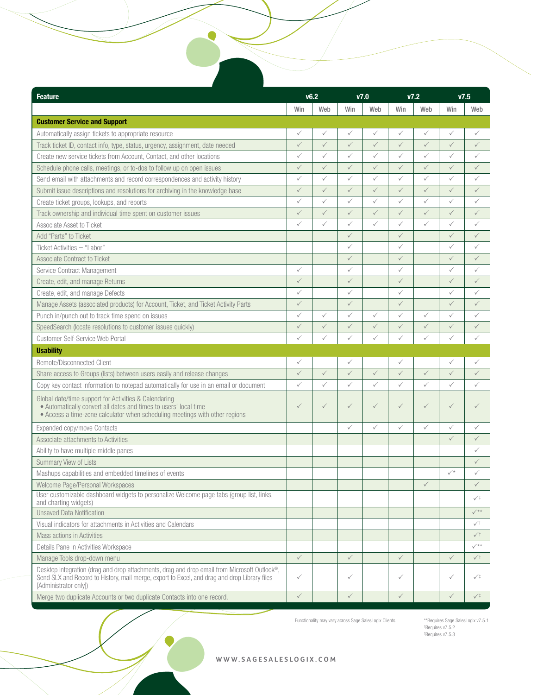| <b>Feature</b>                                                                                                                                                                                                        | v6.2         |              | V7.0         |              | V7.2         |              | V7.5                 |                           |
|-----------------------------------------------------------------------------------------------------------------------------------------------------------------------------------------------------------------------|--------------|--------------|--------------|--------------|--------------|--------------|----------------------|---------------------------|
|                                                                                                                                                                                                                       | Win          | Web          | Win          | Web          | Win          | Web          | Win                  | Web                       |
| <b>Customer Service and Support</b>                                                                                                                                                                                   |              |              |              |              |              |              |                      |                           |
| Automatically assign tickets to appropriate resource                                                                                                                                                                  | $\checkmark$ | $\checkmark$ | ✓            | $\checkmark$ | $\checkmark$ | $\checkmark$ | $\checkmark$         | ✓                         |
| Track ticket ID, contact info, type, status, urgency, assignment, date needed                                                                                                                                         | $\checkmark$ | $\checkmark$ | $\checkmark$ | $\checkmark$ | $\checkmark$ | $\checkmark$ | $\checkmark$         | $\checkmark$              |
| Create new service tickets from Account, Contact, and other locations                                                                                                                                                 | ✓            | $\checkmark$ | $\checkmark$ | $\checkmark$ | $\checkmark$ | $\checkmark$ | $\checkmark$         | ✓                         |
| Schedule phone calls, meetings, or to-dos to follow up on open issues                                                                                                                                                 | $\checkmark$ | $\checkmark$ | $\checkmark$ | $\checkmark$ | $\checkmark$ | $\checkmark$ | $\checkmark$         | $\checkmark$              |
| Send email with attachments and record correspondences and activity history                                                                                                                                           | ✓            | $\checkmark$ | ✓            | $\checkmark$ | $\checkmark$ | $\checkmark$ | $\checkmark$         | ✓                         |
| Submit issue descriptions and resolutions for archiving in the knowledge base                                                                                                                                         | $\checkmark$ | $\checkmark$ | $\checkmark$ | $\checkmark$ | $\checkmark$ | $\checkmark$ | $\checkmark$         | $\checkmark$              |
| Create ticket groups, lookups, and reports                                                                                                                                                                            | ✓            | $\checkmark$ | $\checkmark$ | $\checkmark$ | $\checkmark$ | $\checkmark$ | $\checkmark$         | $\checkmark$              |
| Track ownership and individual time spent on customer issues                                                                                                                                                          | $\checkmark$ | $\checkmark$ | $\checkmark$ | $\checkmark$ | $\checkmark$ | $\checkmark$ | $\checkmark$         | $\checkmark$              |
| Associate Asset to Ticket                                                                                                                                                                                             | ✓            | ✓            | ✓            | $\checkmark$ | $\checkmark$ | $\checkmark$ | $\checkmark$         | ✓                         |
| Add "Parts" to Ticket                                                                                                                                                                                                 |              |              | $\checkmark$ |              | $\checkmark$ |              | $\checkmark$         | ✓                         |
| Ticket Activities = "Labor"                                                                                                                                                                                           |              |              | ✓            |              | $\checkmark$ |              | $\checkmark$         | ✓                         |
| Associate Contract to Ticket                                                                                                                                                                                          |              |              | $\checkmark$ |              | $\checkmark$ |              | $\checkmark$         | $\checkmark$              |
| Service Contract Management                                                                                                                                                                                           | $\checkmark$ |              | ✓            |              | $\checkmark$ |              | $\checkmark$         | ✓                         |
| Create, edit, and manage Returns                                                                                                                                                                                      | $\checkmark$ |              | $\checkmark$ |              | $\checkmark$ |              | $\checkmark$         | $\checkmark$              |
| Create, edit, and manage Defects                                                                                                                                                                                      | $\checkmark$ |              | ✓            |              | $\checkmark$ |              | $\checkmark$         | ✓                         |
| Manage Assets (associated products) for Account, Ticket, and Ticket Activity Parts                                                                                                                                    | $\checkmark$ |              | $\checkmark$ |              | $\checkmark$ |              | $\checkmark$         | ✓                         |
| Punch in/punch out to track time spend on issues                                                                                                                                                                      | ✓            | $\checkmark$ | ✓            | $\checkmark$ | $\checkmark$ | $\checkmark$ | $\checkmark$         | ✓                         |
| SpeedSearch (locate resolutions to customer issues quickly)                                                                                                                                                           | $\checkmark$ | $\checkmark$ | $\checkmark$ | $\checkmark$ | $\checkmark$ | $\checkmark$ | $\checkmark$         | $\checkmark$              |
| Customer Self-Service Web Portal                                                                                                                                                                                      | $\checkmark$ | $\checkmark$ | $\checkmark$ | $\checkmark$ | $\checkmark$ | $\checkmark$ | $\checkmark$         | $\checkmark$              |
| <b>Usability</b>                                                                                                                                                                                                      |              |              |              |              |              |              |                      |                           |
| Remote/Disconnected Client                                                                                                                                                                                            | ✓            |              | ✓            |              | $\checkmark$ |              | $\checkmark$         | ✓                         |
| Share access to Groups (lists) between users easily and release changes                                                                                                                                               | $\checkmark$ | $\checkmark$ | $\checkmark$ | $\checkmark$ | $\checkmark$ | $\checkmark$ | $\checkmark$         | $\checkmark$              |
| Copy key contact information to notepad automatically for use in an email or document                                                                                                                                 | $\checkmark$ | $\checkmark$ | ✓            | $\checkmark$ | $\checkmark$ | $\checkmark$ | $\checkmark$         | $\checkmark$              |
| Global date/time support for Activities & Calendaring<br>• Automatically convert all dates and times to users' local time<br>• Access a time-zone calculator when scheduling meetings with other regions              | $\checkmark$ | $\checkmark$ | ✓            | $\checkmark$ | $\checkmark$ | $\checkmark$ | $\checkmark$         |                           |
| Expanded copy/move Contacts                                                                                                                                                                                           |              |              | ✓            | $\checkmark$ | $\checkmark$ | $\checkmark$ | $\checkmark$         | $\checkmark$              |
| Associate attachments to Activities                                                                                                                                                                                   |              |              |              |              |              |              | $\checkmark$         | $\checkmark$              |
| Ability to have multiple middle panes                                                                                                                                                                                 |              |              |              |              |              |              |                      | ✓                         |
| <b>Summary View of Lists</b>                                                                                                                                                                                          |              |              |              |              |              |              |                      |                           |
| Mashups capabilities and embedded timelines of events                                                                                                                                                                 |              |              |              |              |              |              | $\checkmark^{\star}$ | ✓                         |
| Welcome Page/Personal Workspaces                                                                                                                                                                                      |              |              |              |              |              | $\checkmark$ |                      | $\checkmark$              |
| User customizable dashboard widgets to personalize Welcome page tabs (group list, links,<br>and charting widgets)                                                                                                     |              |              |              |              |              |              |                      | $\checkmark$              |
| <b>Unsaved Data Notification</b>                                                                                                                                                                                      |              |              |              |              |              |              |                      | $\checkmark^{\star\star}$ |
| Visual indicators for attachments in Activities and Calendars                                                                                                                                                         |              |              |              |              |              |              |                      | $\checkmark$              |
| Mass actions in Activities                                                                                                                                                                                            |              |              |              |              |              |              |                      | $\sqrt{}$                 |
| Details Pane in Activities Workspace                                                                                                                                                                                  |              |              |              |              |              |              |                      | $\checkmark$              |
| Manage Tools drop-down menu                                                                                                                                                                                           | $\checkmark$ |              | $\checkmark$ |              | $\checkmark$ |              | $\checkmark$         | $\sqrt{ }$                |
| Desktop Integration (drag and drop attachments, drag and drop email from Microsoft Outlook®,<br>Send SLX and Record to History, mail merge, export to Excel, and drag and drop Library files<br>[Administrator only]) | $\checkmark$ |              | ✓            |              | $\checkmark$ |              | $\checkmark$         | $\sqrt{ }$                |
| Merge two duplicate Accounts or two duplicate Contacts into one record.                                                                                                                                               | $\checkmark$ |              | $\checkmark$ |              | $\checkmark$ |              | $\checkmark$         | $\sqrt{1}$                |

Functionality may vary across Sage SalesLogix Clients.

\*\*Requires Sage SalesLogix v7.5.1 † Requires v7.5.2 ‡ Requires v7.5.3

 **www.sagesaleslogix.com**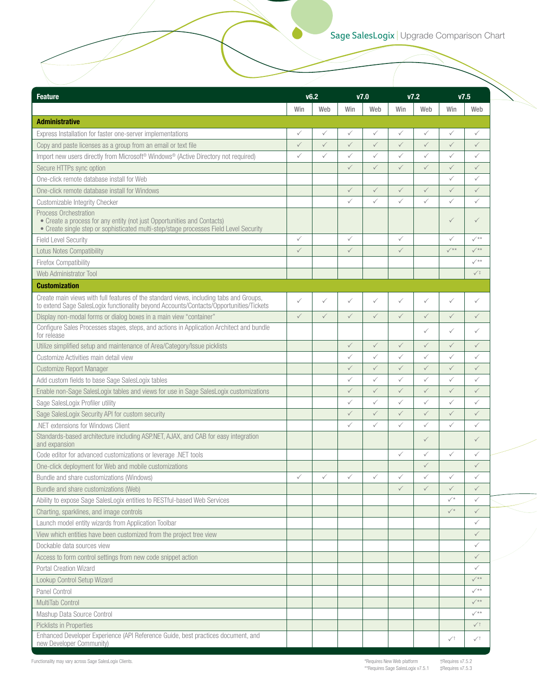| <b>Feature</b>                                                                                                                                                                   | V6.2         |              | V <sub>7.0</sub> |              | V7.2         |              |                 | V7.5                      |
|----------------------------------------------------------------------------------------------------------------------------------------------------------------------------------|--------------|--------------|------------------|--------------|--------------|--------------|-----------------|---------------------------|
|                                                                                                                                                                                  | Win          | Web          | Win              | Web          | Win          | Web          | Win             | Web                       |
| <b>Administrative</b>                                                                                                                                                            |              |              |                  |              |              |              |                 |                           |
| Express Installation for faster one-server implementations                                                                                                                       | ✓            | ✓            | ✓                | ✓            | $\checkmark$ | ✓            | $\checkmark$    | $\checkmark$              |
| Copy and paste licenses as a group from an email or text file                                                                                                                    | $\checkmark$ | $\checkmark$ | $\checkmark$     | $\checkmark$ | $\checkmark$ | $\checkmark$ | $\checkmark$    | $\checkmark$              |
| Import new users directly from Microsoft <sup>®</sup> Windows <sup>®</sup> (Active Directory not required)                                                                       | ✓            | $\checkmark$ | $\checkmark$     | $\checkmark$ | $\checkmark$ | $\checkmark$ | $\checkmark$    | $\checkmark$              |
| Secure HTTPs sync option                                                                                                                                                         |              |              | $\checkmark$     | $\checkmark$ | $\checkmark$ | $\checkmark$ | $\checkmark$    | $\checkmark$              |
| One-click remote database install for Web                                                                                                                                        |              |              |                  |              |              |              | $\checkmark$    | $\checkmark$              |
| One-click remote database install for Windows                                                                                                                                    |              |              | $\checkmark$     | $\checkmark$ | $\checkmark$ | $\checkmark$ | $\checkmark$    | $\checkmark$              |
| Customizable Integrity Checker                                                                                                                                                   |              |              | $\checkmark$     | ✓            | $\checkmark$ | $\checkmark$ | $\checkmark$    | $\checkmark$              |
| Process Orchestration                                                                                                                                                            |              |              |                  |              |              |              |                 |                           |
| • Create a process for any entity (not just Opportunities and Contacts)<br>• Create single step or sophisticated multi-step/stage processes Field Level Security                 |              |              |                  |              |              |              | $\checkmark$    | $\checkmark$              |
| <b>Field Level Security</b>                                                                                                                                                      | ✓            |              | ✓                |              | $\checkmark$ |              | $\checkmark$    | $\checkmark$              |
| <b>Lotus Notes Compatibility</b>                                                                                                                                                 | $\checkmark$ |              | $\checkmark$     |              | $\checkmark$ |              | $\checkmark$ ** | $\sqrt{**}$               |
| Firefox Compatibility                                                                                                                                                            |              |              |                  |              |              |              |                 | $\checkmark$              |
| Web Administrator Tool                                                                                                                                                           |              |              |                  |              |              |              |                 | $\sqrt{1}$                |
| <b>Customization</b>                                                                                                                                                             |              |              |                  |              |              |              |                 |                           |
| Create main views with full features of the standard views, including tabs and Groups,<br>to extend Sage SalesLogix functionality beyond Accounts/Contacts/Opportunities/Tickets | $\checkmark$ | $\checkmark$ | ✓                | $\checkmark$ | $\checkmark$ | $\checkmark$ | $\checkmark$    | ✓                         |
| Display non-modal forms or dialog boxes in a main view "container"                                                                                                               | $\checkmark$ | $\checkmark$ | $\checkmark$     | $\checkmark$ | $\checkmark$ | $\checkmark$ | $\checkmark$    | $\checkmark$              |
| Configure Sales Processes stages, steps, and actions in Application Architect and bundle<br>for release                                                                          |              |              |                  |              |              | ✓            | $\checkmark$    | ✓                         |
| Utilize simplified setup and maintenance of Area/Category/Issue picklists                                                                                                        |              |              | $\checkmark$     | $\checkmark$ | $\checkmark$ | $\checkmark$ | $\checkmark$    | $\checkmark$              |
| Customize Activities main detail view                                                                                                                                            |              |              | ✓                | ✓            | $\checkmark$ | $\checkmark$ | $\checkmark$    | $\checkmark$              |
| Customize Report Manager                                                                                                                                                         |              |              | $\checkmark$     | $\checkmark$ | $\checkmark$ | $\checkmark$ | $\checkmark$    | $\checkmark$              |
| Add custom fields to base Sage SalesLogix tables                                                                                                                                 |              |              | ✓                | ✓            | $\checkmark$ | ✓            | $\checkmark$    | $\checkmark$              |
| Enable non-Sage SalesLogix tables and views for use in Sage SalesLogix customizations                                                                                            |              |              | $\checkmark$     | ✓            | $\checkmark$ | $\checkmark$ | $\checkmark$    | $\checkmark$              |
| Sage SalesLogix Profiler utility                                                                                                                                                 |              |              | ✓                | ✓            | $\checkmark$ | ✓            | $\checkmark$    | $\checkmark$              |
| Sage SalesLogix Security API for custom security                                                                                                                                 |              |              | $\checkmark$     | $\checkmark$ | $\checkmark$ | $\checkmark$ | $\checkmark$    | $\checkmark$              |
| .NET extensions for Windows Client                                                                                                                                               |              |              | ✓                | $\checkmark$ | $\checkmark$ | $\checkmark$ | $\checkmark$    | ✓                         |
| Standards-based architecture including ASP.NET, AJAX, and CAB for easy integration<br>and expansion                                                                              |              |              |                  |              |              | $\checkmark$ |                 | ✓                         |
| Code editor for advanced customizations or leverage .NET tools                                                                                                                   |              |              |                  |              | $\checkmark$ | $\checkmark$ | $\checkmark$    | ✓                         |
| One-click deployment for Web and mobile customizations                                                                                                                           |              |              |                  |              |              | $\checkmark$ |                 | $\checkmark$              |
| Bundle and share customizations (Windows)                                                                                                                                        | $\checkmark$ | $\checkmark$ | $\checkmark$     | $\checkmark$ | ✓            | ✓            | ✓               |                           |
| Bundle and share customizations (Web)                                                                                                                                            |              |              |                  |              | $\checkmark$ | $\checkmark$ | $\checkmark$    | $\checkmark$              |
| Ability to expose Sage SalesLogix entities to RESTful-based Web Services                                                                                                         |              |              |                  |              |              |              | $\checkmark^*$  | ✓                         |
| Charting, sparklines, and image controls                                                                                                                                         |              |              |                  |              |              |              | $\checkmark$    | $\checkmark$              |
| Launch model entity wizards from Application Toolbar                                                                                                                             |              |              |                  |              |              |              |                 | ✓                         |
| View which entities have been customized from the project tree view                                                                                                              |              |              |                  |              |              |              |                 | $\checkmark$              |
| Dockable data sources view                                                                                                                                                       |              |              |                  |              |              |              |                 | ✓                         |
| Access to form control settings from new code snippet action                                                                                                                     |              |              |                  |              |              |              |                 | $\checkmark$              |
| Portal Creation Wizard                                                                                                                                                           |              |              |                  |              |              |              |                 | ✓                         |
| Lookup Control Setup Wizard                                                                                                                                                      |              |              |                  |              |              |              |                 | $\sqrt{**}$               |
| Panel Control                                                                                                                                                                    |              |              |                  |              |              |              |                 | $\checkmark^{\star\star}$ |
| MultiTab Control                                                                                                                                                                 |              |              |                  |              |              |              |                 | $\sqrt{**}$               |
| Mashup Data Source Control                                                                                                                                                       |              |              |                  |              |              |              |                 | $\checkmark$              |
| Picklists in Properties                                                                                                                                                          |              |              |                  |              |              |              |                 | $\checkmark$              |
| Enhanced Developer Experience (API Reference Guide, best practices document, and<br>new Developer Community)                                                                     |              |              |                  |              |              |              | $\checkmark$    | $\checkmark$              |

Functionality may vary across Sage SalesLogix Clients.